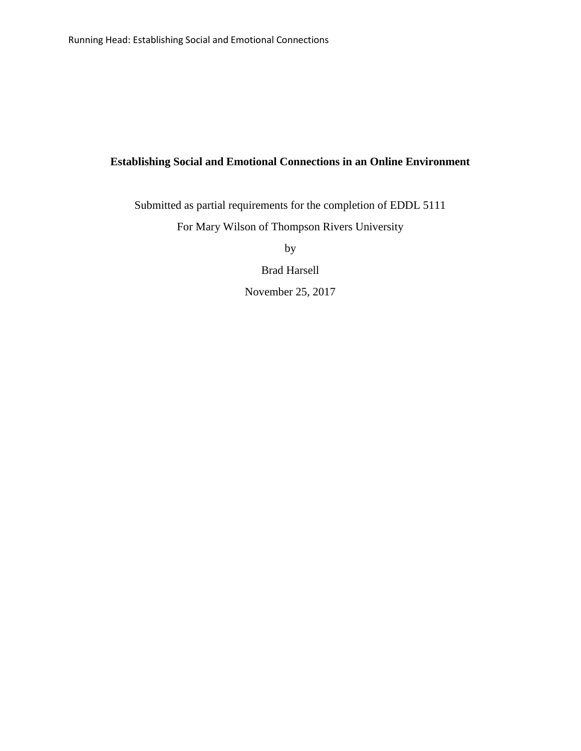# **Establishing Social and Emotional Connections in an Online Environment**

Submitted as partial requirements for the completion of EDDL 5111 For Mary Wilson of Thompson Rivers University

by

Brad Harsell

November 25, 2017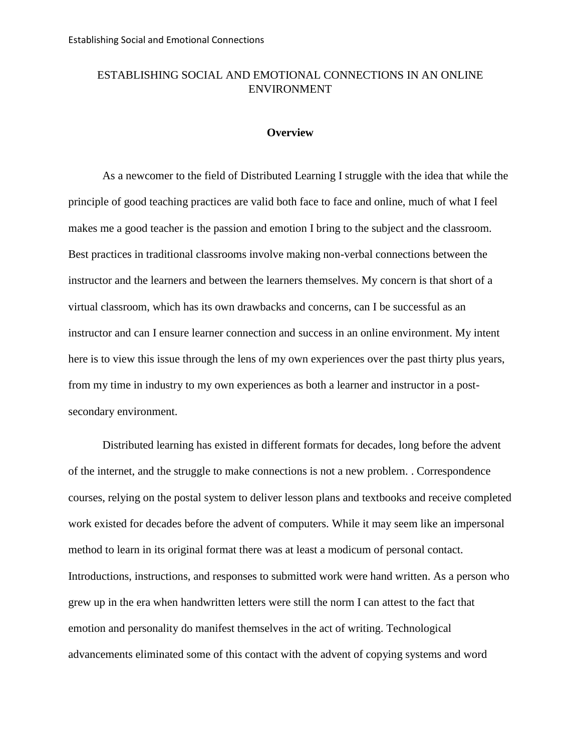## ESTABLISHING SOCIAL AND EMOTIONAL CONNECTIONS IN AN ONLINE **ENVIRONMENT**

### **Overview**

As a newcomer to the field of Distributed Learning I struggle with the idea that while the principle of good teaching practices are valid both face to face and online, much of what I feel makes me a good teacher is the passion and emotion I bring to the subject and the classroom. Best practices in traditional classrooms involve making non-verbal connections between the instructor and the learners and between the learners themselves. My concern is that short of a virtual classroom, which has its own drawbacks and concerns, can I be successful as an instructor and can I ensure learner connection and success in an online environment. My intent here is to view this issue through the lens of my own experiences over the past thirty plus years, from my time in industry to my own experiences as both a learner and instructor in a postsecondary environment.

Distributed learning has existed in different formats for decades, long before the advent of the internet, and the struggle to make connections is not a new problem. . Correspondence courses, relying on the postal system to deliver lesson plans and textbooks and receive completed work existed for decades before the advent of computers. While it may seem like an impersonal method to learn in its original format there was at least a modicum of personal contact. Introductions, instructions, and responses to submitted work were hand written. As a person who grew up in the era when handwritten letters were still the norm I can attest to the fact that emotion and personality do manifest themselves in the act of writing. Technological advancements eliminated some of this contact with the advent of copying systems and word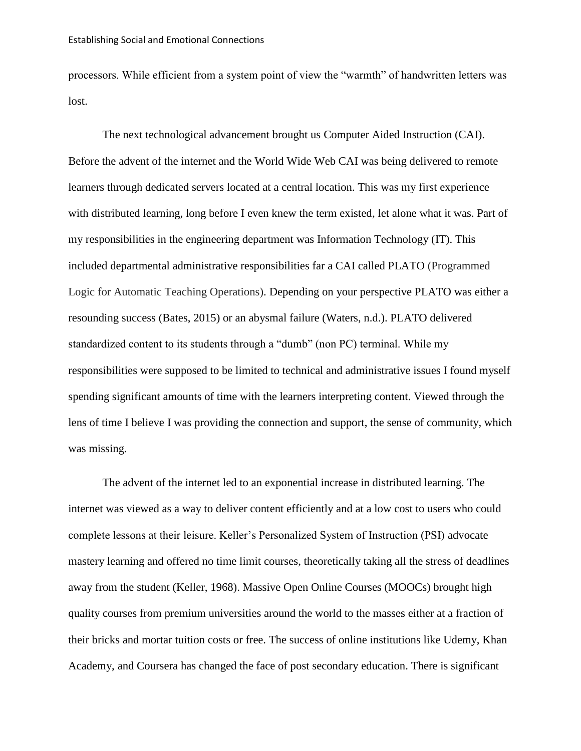processors. While efficient from a system point of view the "warmth" of handwritten letters was lost.

The next technological advancement brought us Computer Aided Instruction (CAI). Before the advent of the internet and the World Wide Web CAI was being delivered to remote learners through dedicated servers located at a central location. This was my first experience with distributed learning, long before I even knew the term existed, let alone what it was. Part of my responsibilities in the engineering department was Information Technology (IT). This included departmental administrative responsibilities far a CAI called PLATO (Programmed Logic for Automatic Teaching Operations). Depending on your perspective PLATO was either a resounding success (Bates, 2015) or an abysmal failure (Waters, n.d.). PLATO delivered standardized content to its students through a "dumb" (non PC) terminal. While my responsibilities were supposed to be limited to technical and administrative issues I found myself spending significant amounts of time with the learners interpreting content. Viewed through the lens of time I believe I was providing the connection and support, the sense of community, which was missing.

The advent of the internet led to an exponential increase in distributed learning. The internet was viewed as a way to deliver content efficiently and at a low cost to users who could complete lessons at their leisure. Keller's Personalized System of Instruction (PSI) advocate mastery learning and offered no time limit courses, theoretically taking all the stress of deadlines away from the student (Keller, 1968). Massive Open Online Courses (MOOCs) brought high quality courses from premium universities around the world to the masses either at a fraction of their bricks and mortar tuition costs or free. The success of online institutions like Udemy, Khan Academy, and Coursera has changed the face of post secondary education. There is significant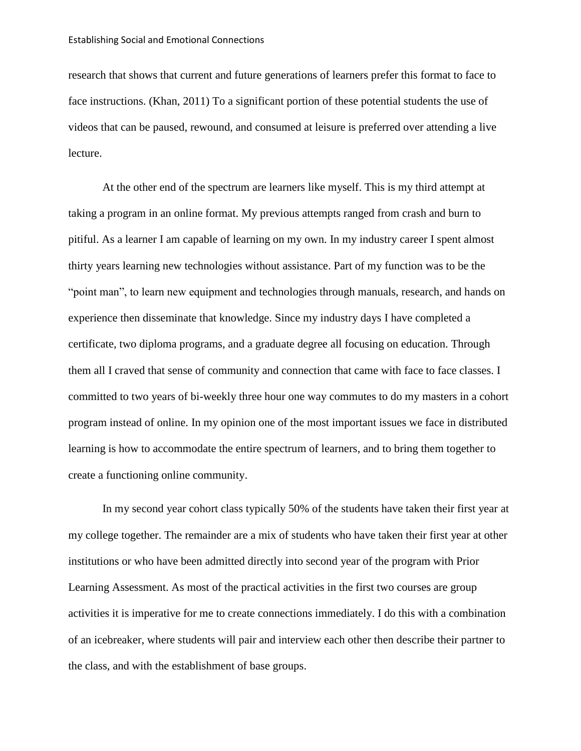research that shows that current and future generations of learners prefer this format to face to face instructions. (Khan, 2011) To a significant portion of these potential students the use of videos that can be paused, rewound, and consumed at leisure is preferred over attending a live lecture.

At the other end of the spectrum are learners like myself. This is my third attempt at taking a program in an online format. My previous attempts ranged from crash and burn to pitiful. As a learner I am capable of learning on my own. In my industry career I spent almost thirty years learning new technologies without assistance. Part of my function was to be the "point man", to learn new equipment and technologies through manuals, research, and hands on experience then disseminate that knowledge. Since my industry days I have completed a certificate, two diploma programs, and a graduate degree all focusing on education. Through them all I craved that sense of community and connection that came with face to face classes. I committed to two years of bi-weekly three hour one way commutes to do my masters in a cohort program instead of online. In my opinion one of the most important issues we face in distributed learning is how to accommodate the entire spectrum of learners, and to bring them together to create a functioning online community.

In my second year cohort class typically 50% of the students have taken their first year at my college together. The remainder are a mix of students who have taken their first year at other institutions or who have been admitted directly into second year of the program with Prior Learning Assessment. As most of the practical activities in the first two courses are group activities it is imperative for me to create connections immediately. I do this with a combination of an icebreaker, where students will pair and interview each other then describe their partner to the class, and with the establishment of base groups.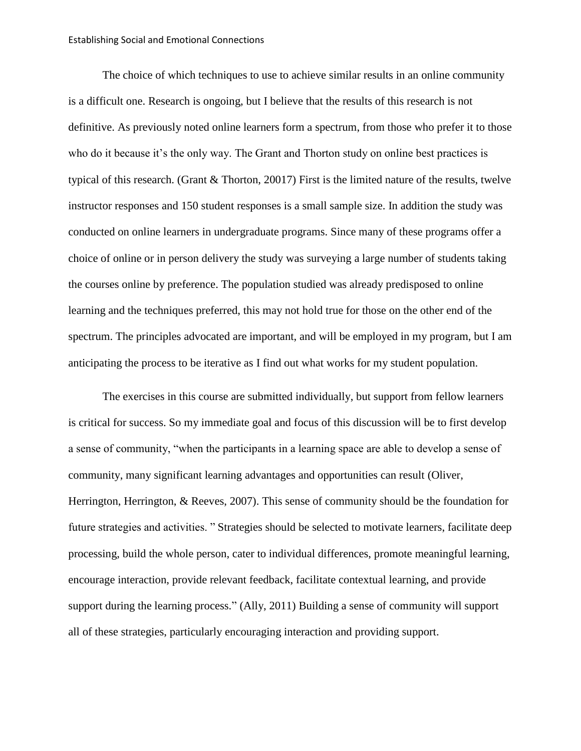#### Establishing Social and Emotional Connections

The choice of which techniques to use to achieve similar results in an online community is a difficult one. Research is ongoing, but I believe that the results of this research is not definitive. As previously noted online learners form a spectrum, from those who prefer it to those who do it because it's the only way. The Grant and Thorton study on online best practices is typical of this research. (Grant & Thorton, 20017) First is the limited nature of the results, twelve instructor responses and 150 student responses is a small sample size. In addition the study was conducted on online learners in undergraduate programs. Since many of these programs offer a choice of online or in person delivery the study was surveying a large number of students taking the courses online by preference. The population studied was already predisposed to online learning and the techniques preferred, this may not hold true for those on the other end of the spectrum. The principles advocated are important, and will be employed in my program, but I am anticipating the process to be iterative as I find out what works for my student population.

The exercises in this course are submitted individually, but support from fellow learners is critical for success. So my immediate goal and focus of this discussion will be to first develop a sense of community, "when the participants in a learning space are able to develop a sense of community, many significant learning advantages and opportunities can result (Oliver, Herrington, Herrington, & Reeves, 2007). This sense of community should be the foundation for future strategies and activities. " Strategies should be selected to motivate learners, facilitate deep processing, build the whole person, cater to individual differences, promote meaningful learning, encourage interaction, provide relevant feedback, facilitate contextual learning, and provide support during the learning process." (Ally, 2011) Building a sense of community will support all of these strategies, particularly encouraging interaction and providing support.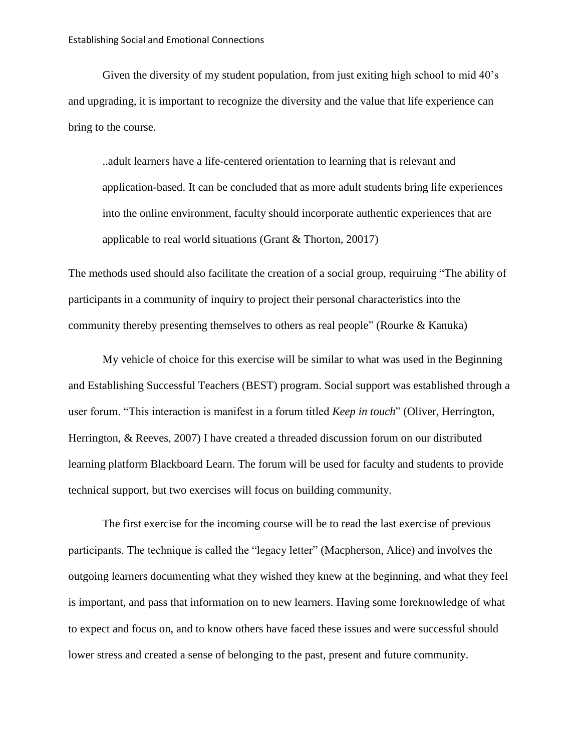Given the diversity of my student population, from just exiting high school to mid 40's and upgrading, it is important to recognize the diversity and the value that life experience can bring to the course.

..adult learners have a life-centered orientation to learning that is relevant and application-based. It can be concluded that as more adult students bring life experiences into the online environment, faculty should incorporate authentic experiences that are applicable to real world situations (Grant & Thorton, 20017)

The methods used should also facilitate the creation of a social group, requiruing "The ability of participants in a community of inquiry to project their personal characteristics into the community thereby presenting themselves to others as real people" (Rourke & Kanuka)

My vehicle of choice for this exercise will be similar to what was used in the Beginning and Establishing Successful Teachers (BEST) program. Social support was established through a user forum. "This interaction is manifest in a forum titled *Keep in touch*" (Oliver, Herrington, Herrington, & Reeves, 2007) I have created a threaded discussion forum on our distributed learning platform Blackboard Learn. The forum will be used for faculty and students to provide technical support, but two exercises will focus on building community.

The first exercise for the incoming course will be to read the last exercise of previous participants. The technique is called the "legacy letter" (Macpherson, Alice) and involves the outgoing learners documenting what they wished they knew at the beginning, and what they feel is important, and pass that information on to new learners. Having some foreknowledge of what to expect and focus on, and to know others have faced these issues and were successful should lower stress and created a sense of belonging to the past, present and future community.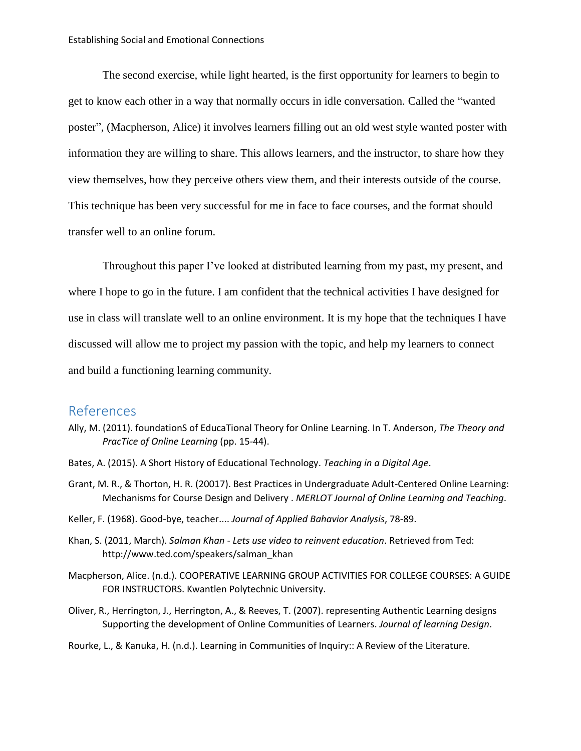The second exercise, while light hearted, is the first opportunity for learners to begin to get to know each other in a way that normally occurs in idle conversation. Called the "wanted poster", (Macpherson, Alice) it involves learners filling out an old west style wanted poster with information they are willing to share. This allows learners, and the instructor, to share how they view themselves, how they perceive others view them, and their interests outside of the course. This technique has been very successful for me in face to face courses, and the format should transfer well to an online forum.

Throughout this paper I've looked at distributed learning from my past, my present, and where I hope to go in the future. I am confident that the technical activities I have designed for use in class will translate well to an online environment. It is my hope that the techniques I have discussed will allow me to project my passion with the topic, and help my learners to connect and build a functioning learning community.

## References

- Ally, M. (2011). foundationS of EducaTional Theory for Online Learning. In T. Anderson, *The Theory and PracTice of Online Learning* (pp. 15-44).
- Bates, A. (2015). A Short History of Educational Technology. *Teaching in a Digital Age*.
- Grant, M. R., & Thorton, H. R. (20017). Best Practices in Undergraduate Adult-Centered Online Learning: Mechanisms for Course Design and Delivery . *MERLOT Journal of Online Learning and Teaching*.
- Keller, F. (1968). Good-bye, teacher.... *Journal of Applied Bahavior Analysis*, 78-89.
- Khan, S. (2011, March). *Salman Khan - Lets use video to reinvent education*. Retrieved from Ted: http://www.ted.com/speakers/salman\_khan
- Macpherson, Alice. (n.d.). COOPERATIVE LEARNING GROUP ACTIVITIES FOR COLLEGE COURSES: A GUIDE FOR INSTRUCTORS. Kwantlen Polytechnic University.
- Oliver, R., Herrington, J., Herrington, A., & Reeves, T. (2007). representing Authentic Learning designs Supporting the development of Online Communities of Learners. *Journal of learning Design*.

Rourke, L., & Kanuka, H. (n.d.). Learning in Communities of Inquiry:: A Review of the Literature.